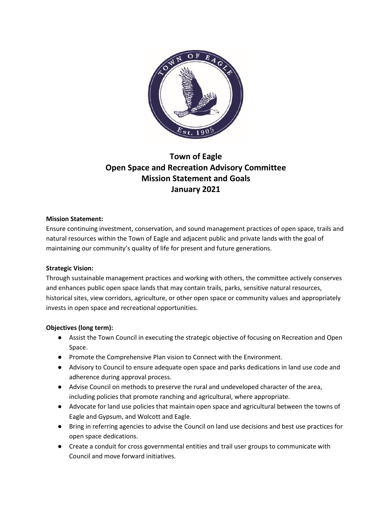

# **Town of Eagle Open Space and Recreation Advisory Committee Mission Statement and Goals January 2021**

#### **Mission Statement:**

Ensure continuing investment, conservation, and sound management practices of open space, trails and natural resources within the Town of Eagle and adjacent public and private lands with the goal of maintaining our community's quality of life for present and future generations.

#### **Strategic Vision:**

Through sustainable management practices and working with others, the committee actively conserves and enhances public open space lands that may contain trails, parks, sensitive natural resources, historical sites, view corridors, agriculture, or other open space or community values and appropriately invests in open space and recreational opportunities.

## **Objectives (long term):**

- Assist the Town Council in executing the strategic objective of focusing on Recreation and Open Space.
- Promote the Comprehensive Plan vision to Connect with the Environment.
- Advisory to Council to ensure adequate open space and parks dedications in land use code and adherence during approval process.
- Advise Council on methods to preserve the rural and undeveloped character of the area, including policies that promote ranching and agricultural, where appropriate.
- Advocate for land use policies that maintain open space and agricultural between the towns of Eagle and Gypsum, and Wolcott and Eagle.
- Bring in referring agencies to advise the Council on land use decisions and best use practices for open space dedications.
- Create a conduit for cross governmental entities and trail user groups to communicate with Council and move forward initiatives.